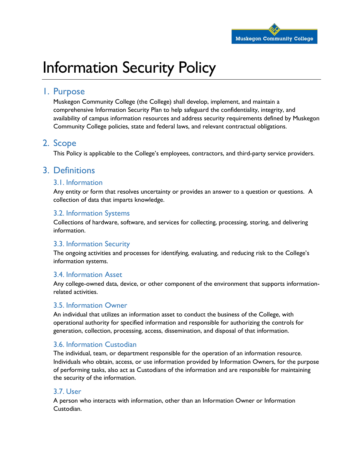

# Information Security Policy

### 1. Purpose

Muskegon Community College (the College) shall develop, implement, and maintain a comprehensive Information Security Plan to help safeguard the confidentiality, integrity, and availability of campus information resources and address security requirements defined by Muskegon Community College policies, state and federal laws, and relevant contractual obligations.

# 2. Scope

This Policy is applicable to the College's employees, contractors, and third-party service providers.

# 3. Definitions

### 3.1. Information

Any entity or form that resolves uncertainty or provides an answer to a question or questions. A collection of data that imparts knowledge.

### 3.2. Information Systems

Collections of hardware, software, and services for collecting, processing, storing, and delivering information.

### 3.3. Information Security

The ongoing activities and processes for identifying, evaluating, and reducing risk to the College's information systems.

### 3.4. Information Asset

Any college-owned data, device, or other component of the environment that supports informationrelated activities.

### 3.5. Information Owner

An individual that utilizes an information asset to conduct the business of the College, with operational authority for specified information and responsible for authorizing the controls for generation, collection, processing, access, dissemination, and disposal of that information.

### 3.6. Information Custodian

The individual, team, or department responsible for the operation of an information resource. Individuals who obtain, access, or use information provided by Information Owners, for the purpose of performing tasks, also act as Custodians of the information and are responsible for maintaining the security of the information.

### 3.7. User

A person who interacts with information, other than an Information Owner or Information Custodian.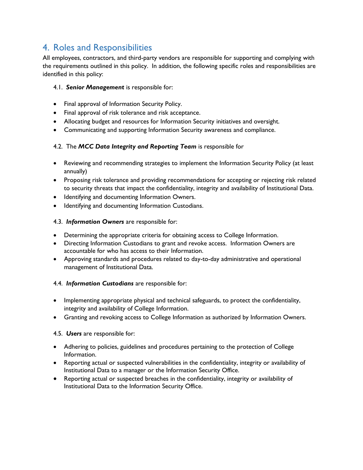# 4. Roles and Responsibilities

All employees, contractors, and third-party vendors are responsible for supporting and complying with the requirements outlined in this policy. In addition, the following specific roles and responsibilities are identified in this policy:

### 4.1. *Senior Management* is responsible for:

- Final approval of Information Security Policy.
- Final approval of risk tolerance and risk acceptance.
- Allocating budget and resources for Information Security initiatives and oversight.
- Communicating and supporting Information Security awareness and compliance.

### 4.2. The *MCC Data Integrity and Reporting Team* is responsible for

- Reviewing and recommending strategies to implement the Information Security Policy (at least annually)
- Proposing risk tolerance and providing recommendations for accepting or rejecting risk related to security threats that impact the confidentiality, integrity and availability of Institutional Data.
- Identifying and documenting Information Owners.
- $\bullet$  Identifying and documenting Information Custodians.

#### 4.3. *Information Owners* are responsible for:

- Determining the appropriate criteria for obtaining access to College Information.
- Directing Information Custodians to grant and revoke access. Information Owners are accountable for who has access to their Information.
- Approving standards and procedures related to day-to-day administrative and operational management of Institutional Data.

#### 4.4. *Information Custodians* are responsible for:

- Implementing appropriate physical and technical safeguards, to protect the confidentiality, integrity and availability of College Information.
- Granting and revoking access to College Information as authorized by Information Owners.

#### 4.5. *Users* are responsible for:

- Adhering to policies, guidelines and procedures pertaining to the protection of College Information.
- Reporting actual or suspected vulnerabilities in the confidentiality, integrity or availability of Institutional Data to a manager or the Information Security Office.
- Reporting actual or suspected breaches in the confidentiality, integrity or availability of Institutional Data to the Information Security Office.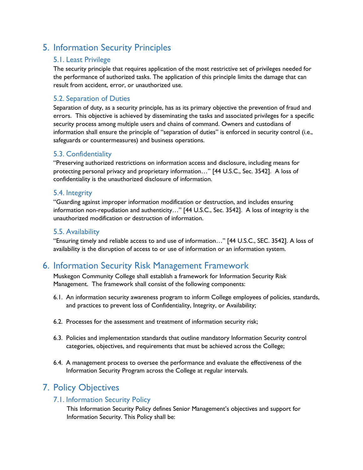# 5. Information Security Principles

### 5.1. Least Privilege

The security principle that requires application of the most restrictive set of privileges needed for the performance of authorized tasks. The application of this principle limits the damage that can result from accident, error, or unauthorized use.

### 5.2. Separation of Duties

Separation of duty, as a security principle, has as its primary objective the prevention of fraud and errors. This objective is achieved by disseminating the tasks and associated privileges for a specific security process among multiple users and chains of command. Owners and custodians of information shall ensure the principle of "separation of duties" is enforced in security control (i.e., safeguards or countermeasures) and business operations.

### 5.3. Confidentiality

"Preserving authorized restrictions on information access and disclosure, including means for protecting personal privacy and proprietary information…" [44 U.S.C., Sec. 3542]. A loss of confidentiality is the unauthorized disclosure of information.

### 5.4. Integrity

"Guarding against improper information modification or destruction, and includes ensuring information non-repudiation and authenticity…" [44 U.S.C., Sec. 3542]. A loss of integrity is the unauthorized modification or destruction of information.

### 5.5. Availability

"Ensuring timely and reliable access to and use of information…" [44 U.S.C., SEC. 3542]. A loss of availability is the disruption of access to or use of information or an information system.

### 6. Information Security Risk Management Framework

Muskegon Community College shall establish a framework for Information Security Risk Management. The framework shall consist of the following components:

- 6.1. An information security awareness program to inform College employees of policies, standards, and practices to prevent loss of Confidentiality, Integrity, or Availability;
- 6.2. Processes for the assessment and treatment of information security risk;
- 6.3. Policies and implementation standards that outline mandatory Information Security control categories, objectives, and requirements that must be achieved across the College;
- 6.4. A management process to oversee the performance and evaluate the effectiveness of the Information Security Program across the College at regular intervals.

### 7. Policy Objectives

### 7.1. Information Security Policy

This Information Security Policy defines Senior Management's objectives and support for Information Security. This Policy shall be: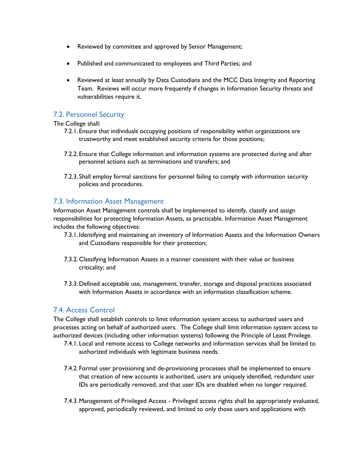- Reviewed by committee and approved by Senior Management;
- Published and communicated to employees and Third Parties; and
- Reviewed at least annually by Data Custodians and the MCC Data Integrity and Reporting Team. Reviews will occur more frequently if changes in Information Security threats and vulnerabilities require it.

### 7.2. Personnel Security

The College shall:

- 7.2.1. Ensure that individuals occupying positions of responsibility within organizations are trustworthy and meet established security criteria for those positions;
- 7.2.2. Ensure that College information and information systems are protected during and after personnel actions such as terminations and transfers; and
- 7.2.3. Shall employ formal sanctions for personnel failing to comply with information security policies and procedures.

### 7.3. Information Asset Management

Information Asset Management controls shall be implemented to identify, classify and assign responsibilities for protecting Information Assets, as practicable. Information Asset Management includes the following objectives:

- 7.3.1. Identifying and maintaining an inventory of Information Assets and the Information Owners and Custodians responsible for their protection;
- 7.3.2.Classifying Information Assets in a manner consistent with their value or business criticality; and
- 7.3.3.Defined acceptable use, management, transfer, storage and disposal practices associated with Information Assets in accordance with an information classification scheme.

### 7.4. Access Control

The College shall establish controls to limit information system access to authorized users and processes acting on behalf of authorized users. The College shall limit information system access to authorized devices (including other information systems) following the Principle of Least Privilege.

- 7.4.1. Local and remote access to College networks and information services shall be limited to authorized individuals with legitimate business needs.
- 7.4.2. Formal user provisioning and de-provisioning processes shall be implemented to ensure that creation of new accounts is authorized, users are uniquely identified, redundant user IDs are periodically removed, and that user IDs are disabled when no longer required.
- 7.4.3.Management of Privileged Access Privileged access rights shall be appropriately evaluated, approved, periodically reviewed, and limited to only those users and applications with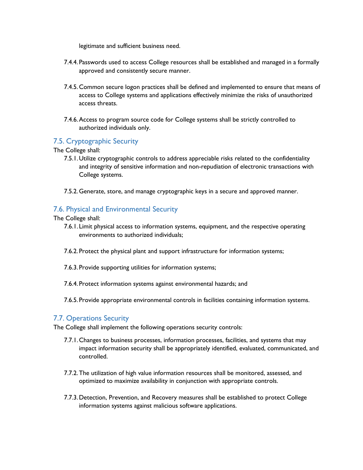legitimate and sufficient business need.

- 7.4.4. Passwords used to access College resources shall be established and managed in a formally approved and consistently secure manner.
- 7.4.5.Common secure logon practices shall be defined and implemented to ensure that means of access to College systems and applications effectively minimize the risks of unauthorized access threats.
- 7.4.6.Access to program source code for College systems shall be strictly controlled to authorized individuals only.

### 7.5. Cryptographic Security

The College shall:

- 7.5.1.Utilize cryptographic controls to address appreciable risks related to the confidentiality and integrity of sensitive information and non-repudiation of electronic transactions with College systems.
- 7.5.2.Generate, store, and manage cryptographic keys in a secure and approved manner.

### 7.6. Physical and Environmental Security

The College shall:

- 7.6.1. Limit physical access to information systems, equipment, and the respective operating environments to authorized individuals;
- 7.6.2. Protect the physical plant and support infrastructure for information systems;
- 7.6.3. Provide supporting utilities for information systems;
- 7.6.4. Protect information systems against environmental hazards; and
- 7.6.5. Provide appropriate environmental controls in facilities containing information systems.

### 7.7. Operations Security

The College shall implement the following operations security controls:

- 7.7.1.Changes to business processes, information processes, facilities, and systems that may impact information security shall be appropriately identified, evaluated, communicated, and controlled.
- 7.7.2.The utilization of high value information resources shall be monitored, assessed, and optimized to maximize availability in conjunction with appropriate controls.
- 7.7.3.Detection, Prevention, and Recovery measures shall be established to protect College information systems against malicious software applications.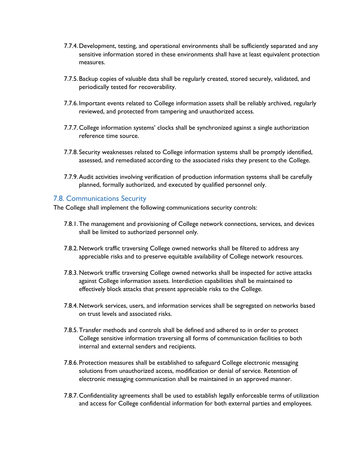- 7.7.4.Development, testing, and operational environments shall be sufficiently separated and any sensitive information stored in these environments shall have at least equivalent protection measures.
- 7.7.5.Backup copies of valuable data shall be regularly created, stored securely, validated, and periodically tested for recoverability.
- 7.7.6. Important events related to College information assets shall be reliably archived, regularly reviewed, and protected from tampering and unauthorized access.
- 7.7.7.College information systems' clocks shall be synchronized against a single authorization reference time source.
- 7.7.8. Security weaknesses related to College information systems shall be promptly identified, assessed, and remediated according to the associated risks they present to the College.
- 7.7.9.Audit activities involving verification of production information systems shall be carefully planned, formally authorized, and executed by qualified personnel only.

#### 7.8. Communications Security

The College shall implement the following communications security controls:

- 7.8.1.The management and provisioning of College network connections, services, and devices shall be limited to authorized personnel only.
- 7.8.2.Network traffic traversing College owned networks shall be filtered to address any appreciable risks and to preserve equitable availability of College network resources.
- 7.8.3.Network traffic traversing College owned networks shall be inspected for active attacks against College information assets. Interdiction capabilities shall be maintained to effectively block attacks that present appreciable risks to the College.
- 7.8.4.Network services, users, and information services shall be segregated on networks based on trust levels and associated risks.
- 7.8.5.Transfer methods and controls shall be defined and adhered to in order to protect College sensitive information traversing all forms of communication facilities to both internal and external senders and recipients.
- 7.8.6. Protection measures shall be established to safeguard College electronic messaging solutions from unauthorized access, modification or denial of service. Retention of electronic messaging communication shall be maintained in an approved manner.
- 7.8.7.Confidentiality agreements shall be used to establish legally enforceable terms of utilization and access for College confidential information for both external parties and employees.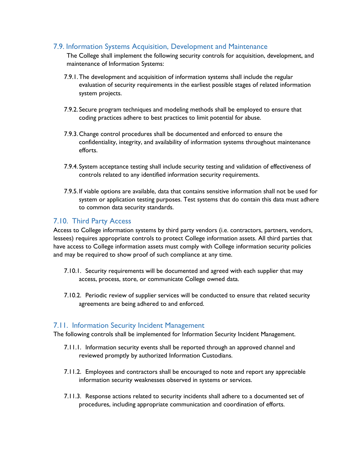### 7.9. Information Systems Acquisition, Development and Maintenance

The College shall implement the following security controls for acquisition, development, and maintenance of Information Systems:

- 7.9.1.The development and acquisition of information systems shall include the regular evaluation of security requirements in the earliest possible stages of related information system projects.
- 7.9.2. Secure program techniques and modeling methods shall be employed to ensure that coding practices adhere to best practices to limit potential for abuse.
- 7.9.3.Change control procedures shall be documented and enforced to ensure the confidentiality, integrity, and availability of information systems throughout maintenance efforts.
- 7.9.4. System acceptance testing shall include security testing and validation of effectiveness of controls related to any identified information security requirements.
- 7.9.5. If viable options are available, data that contains sensitive information shall not be used for system or application testing purposes. Test systems that do contain this data must adhere to common data security standards.

### 7.10. Third Party Access

Access to College information systems by third party vendors (i.e. contractors, partners, vendors, lessees) requires appropriate controls to protect College information assets. All third parties that have access to College information assets must comply with College information security policies and may be required to show proof of such compliance at any time.

- 7.10.1. Security requirements will be documented and agreed with each supplier that may access, process, store, or communicate College owned data.
- 7.10.2. Periodic review of supplier services will be conducted to ensure that related security agreements are being adhered to and enforced.

### 7.11. Information Security Incident Management

The following controls shall be implemented for Information Security Incident Management.

- 7.11.1. Information security events shall be reported through an approved channel and reviewed promptly by authorized Information Custodians.
- 7.11.2. Employees and contractors shall be encouraged to note and report any appreciable information security weaknesses observed in systems or services.
- 7.11.3. Response actions related to security incidents shall adhere to a documented set of procedures, including appropriate communication and coordination of efforts.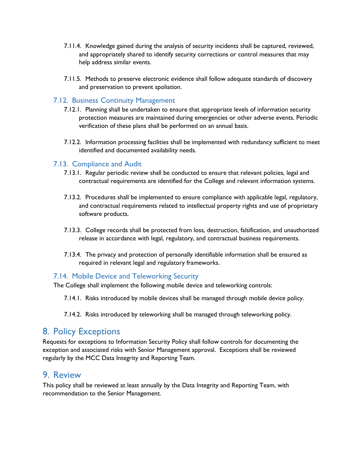- 7.11.4. Knowledge gained during the analysis of security incidents shall be captured, reviewed, and appropriately shared to identify security corrections or control measures that may help address similar events.
- 7.11.5. Methods to preserve electronic evidence shall follow adequate standards of discovery and preservation to prevent spoliation.

### 7.12. Business Continuity Management

- 7.12.1. Planning shall be undertaken to ensure that appropriate levels of information security protection measures are maintained during emergencies or other adverse events. Periodic verification of these plans shall be performed on an annual basis.
- 7.12.2. Information processing facilities shall be implemented with redundancy sufficient to meet identified and documented availability needs.

### 7.13. Compliance and Audit

- 7.13.1. Regular periodic review shall be conducted to ensure that relevant policies, legal and contractual requirements are identified for the College and relevant information systems.
- 7.13.2. Procedures shall be implemented to ensure compliance with applicable legal, regulatory, and contractual requirements related to intellectual property rights and use of proprietary software products.
- 7.13.3. College records shall be protected from loss, destruction, falsification, and unauthorized release in accordance with legal, regulatory, and contractual business requirements.
- 7.13.4. The privacy and protection of personally identifiable information shall be ensured as required in relevant legal and regulatory frameworks.

### 7.14. Mobile Device and Teleworking Security

The College shall implement the following mobile device and teleworking controls:

7.14.1. Risks introduced by mobile devices shall be managed through mobile device policy.

7.14.2. Risks introduced by teleworking shall be managed through teleworking policy.

### 8. Policy Exceptions

Requests for exceptions to Information Security Policy shall follow controls for documenting the exception and associated risks with Senior Management approval. Exceptions shall be reviewed regularly by the MCC Data Integrity and Reporting Team.

### 9. Review

This policy shall be reviewed at least annually by the Data Integrity and Reporting Team, with recommendation to the Senior Management.